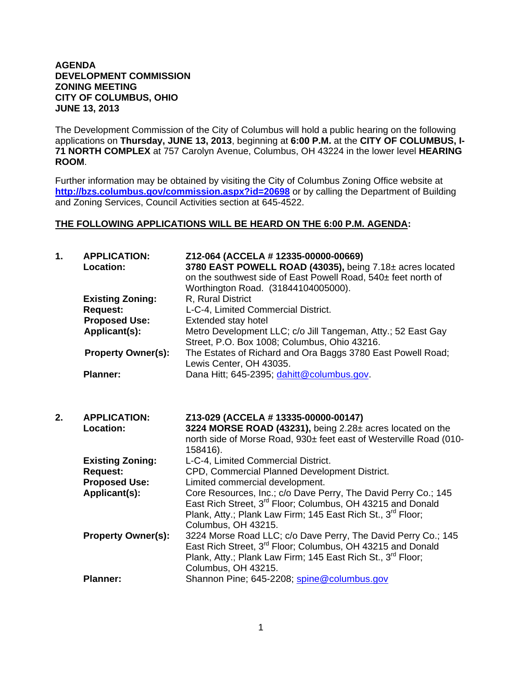## **AGENDA DEVELOPMENT COMMISSION ZONING MEETING CITY OF COLUMBUS, OHIO JUNE 13, 2013**

The Development Commission of the City of Columbus will hold a public hearing on the following applications on **Thursday, JUNE 13, 2013**, beginning at **6:00 P.M.** at the **CITY OF COLUMBUS, I-71 NORTH COMPLEX** at 757 Carolyn Avenue, Columbus, OH 43224 in the lower level **HEARING ROOM**.

Further information may be obtained by visiting the City of Columbus Zoning Office website at **http://bzs.columbus.gov/commission.aspx?id=20698** or by calling the Department of Building and Zoning Services, Council Activities section at 645-4522.

## **THE FOLLOWING APPLICATIONS WILL BE HEARD ON THE 6:00 P.M. AGENDA:**

| 1. | <b>APPLICATION:</b><br><b>Location:</b><br><b>Existing Zoning:</b> | Z12-064 (ACCELA # 12335-00000-00669)<br>3780 EAST POWELL ROAD (43035), being 7.18± acres located<br>on the southwest side of East Powell Road, 540± feet north of<br>Worthington Road. (31844104005000).<br>R, Rural District              |
|----|--------------------------------------------------------------------|--------------------------------------------------------------------------------------------------------------------------------------------------------------------------------------------------------------------------------------------|
|    | <b>Request:</b>                                                    | L-C-4, Limited Commercial District.                                                                                                                                                                                                        |
|    | <b>Proposed Use:</b><br>Applicant(s):                              | Extended stay hotel<br>Metro Development LLC; c/o Jill Tangeman, Atty.; 52 East Gay<br>Street, P.O. Box 1008; Columbus, Ohio 43216.                                                                                                        |
|    | <b>Property Owner(s):</b>                                          | The Estates of Richard and Ora Baggs 3780 East Powell Road;<br>Lewis Center, OH 43035.                                                                                                                                                     |
|    | <b>Planner:</b>                                                    | Dana Hitt; 645-2395; dahitt@columbus.gov.                                                                                                                                                                                                  |
| 2. | <b>APPLICATION:</b><br>Location:                                   | Z13-029 (ACCELA # 13335-00000-00147)<br>3224 MORSE ROAD (43231), being 2.28± acres located on the<br>north side of Morse Road, 930± feet east of Westerville Road (010-<br>158416).                                                        |
|    | <b>Existing Zoning:</b>                                            | L-C-4, Limited Commercial District.                                                                                                                                                                                                        |
|    | <b>Request:</b>                                                    | CPD, Commercial Planned Development District.                                                                                                                                                                                              |
|    | <b>Proposed Use:</b>                                               | Limited commercial development.                                                                                                                                                                                                            |
|    | Applicant(s):                                                      | Core Resources, Inc.; c/o Dave Perry, The David Perry Co.; 145<br>East Rich Street, 3 <sup>rd</sup> Floor; Columbus, OH 43215 and Donald<br>Plank, Atty.; Plank Law Firm; 145 East Rich St., 3 <sup>rd</sup> Floor;<br>Columbus, OH 43215. |
|    | <b>Property Owner(s):</b>                                          | 3224 Morse Road LLC; c/o Dave Perry, The David Perry Co.; 145<br>East Rich Street, 3 <sup>rd</sup> Floor; Columbus, OH 43215 and Donald<br>Plank, Atty.; Plank Law Firm; 145 East Rich St., 3rd Floor;<br>Columbus, OH 43215.              |
|    | <b>Planner:</b>                                                    | Shannon Pine; 645-2208; spine@columbus.gov                                                                                                                                                                                                 |
|    |                                                                    |                                                                                                                                                                                                                                            |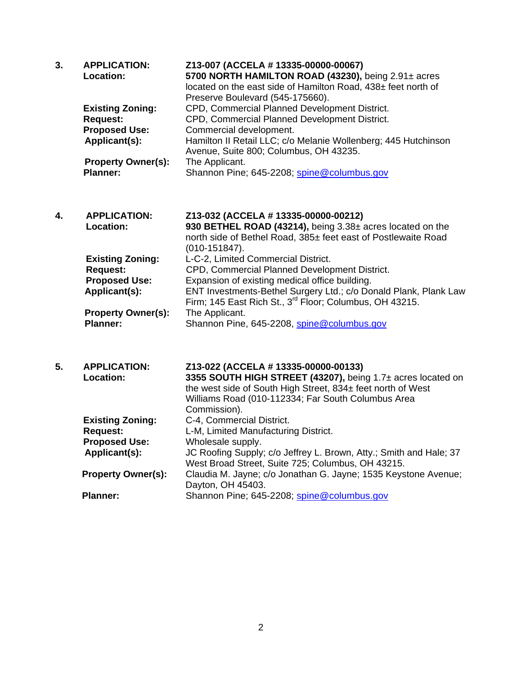| 3. | <b>APPLICATION:</b><br>Location:             | Z13-007 (ACCELA # 13335-00000-00067)<br>5700 NORTH HAMILTON ROAD (43230), being 2.91± acres<br>located on the east side of Hamilton Road, 438± feet north of<br>Preserve Boulevard (545-175660). |
|----|----------------------------------------------|--------------------------------------------------------------------------------------------------------------------------------------------------------------------------------------------------|
|    | <b>Existing Zoning:</b>                      | CPD, Commercial Planned Development District.                                                                                                                                                    |
|    | <b>Request:</b>                              | CPD, Commercial Planned Development District.                                                                                                                                                    |
|    | <b>Proposed Use:</b>                         | Commercial development.                                                                                                                                                                          |
|    | Applicant(s):                                | Hamilton II Retail LLC; c/o Melanie Wollenberg; 445 Hutchinson<br>Avenue, Suite 800; Columbus, OH 43235.                                                                                         |
|    | <b>Property Owner(s):</b>                    | The Applicant.                                                                                                                                                                                   |
|    | <b>Planner:</b>                              | Shannon Pine; 645-2208; spine@columbus.gov                                                                                                                                                       |
| 4. | <b>APPLICATION:</b>                          | Z13-032 (ACCELA # 13335-00000-00212)                                                                                                                                                             |
|    | <b>Location:</b>                             | 930 BETHEL ROAD (43214), being 3.38± acres located on the                                                                                                                                        |
|    |                                              | north side of Bethel Road, 385± feet east of Postlewaite Road<br>$(010-151847).$                                                                                                                 |
|    | <b>Existing Zoning:</b>                      | L-C-2, Limited Commercial District.                                                                                                                                                              |
|    | <b>Request:</b>                              | CPD, Commercial Planned Development District.                                                                                                                                                    |
|    | <b>Proposed Use:</b>                         | Expansion of existing medical office building.                                                                                                                                                   |
|    | Applicant(s):                                | ENT Investments-Bethel Surgery Ltd.; c/o Donald Plank, Plank Law                                                                                                                                 |
|    |                                              | Firm; 145 East Rich St., 3 <sup>rd</sup> Floor; Columbus, OH 43215.                                                                                                                              |
|    | <b>Property Owner(s):</b><br><b>Planner:</b> | The Applicant.<br>Shannon Pine, 645-2208, spine@columbus.gov                                                                                                                                     |
|    |                                              |                                                                                                                                                                                                  |
| 5. | <b>APPLICATION:</b>                          | Z13-022 (ACCELA # 13335-00000-00133)                                                                                                                                                             |
|    | Location:                                    | 3355 SOUTH HIGH STREET (43207), being 1.7± acres located on                                                                                                                                      |
|    |                                              | the west side of South High Street, 834± feet north of West                                                                                                                                      |
|    |                                              | Williams Road (010-112334; Far South Columbus Area                                                                                                                                               |
|    |                                              | Commission).                                                                                                                                                                                     |
|    | <b>Existing Zoning:</b><br><b>Request:</b>   | C-4, Commercial District.                                                                                                                                                                        |
|    | <b>Proposed Use:</b>                         | L-M, Limited Manufacturing District.<br>Wholesale supply.                                                                                                                                        |
|    | Applicant(s):                                | JC Roofing Supply; c/o Jeffrey L. Brown, Atty.; Smith and Hale; 37                                                                                                                               |
|    |                                              | West Broad Street, Suite 725; Columbus, OH 43215.                                                                                                                                                |
|    | <b>Property Owner(s):</b>                    | Claudia M. Jayne; c/o Jonathan G. Jayne; 1535 Keystone Avenue;                                                                                                                                   |
|    |                                              | Dayton, OH 45403.                                                                                                                                                                                |
|    | <b>Planner:</b>                              | Shannon Pine; 645-2208; spine@columbus.gov                                                                                                                                                       |